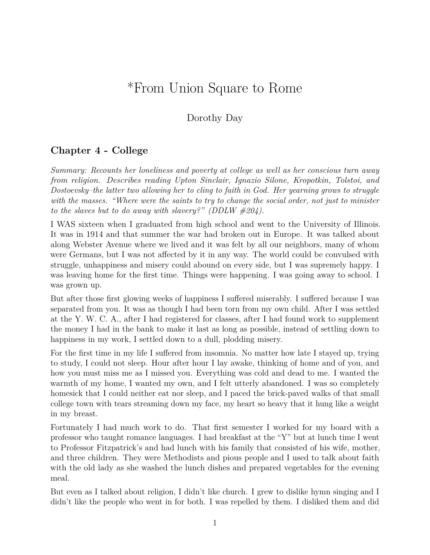## \*From Union Square to Rome

## Dorothy Day

## **Chapter 4 - College**

*Summary: Recounts her loneliness and poverty at college as well as her conscious turn away from religion. Describes reading Upton Sinclair, Ignazio Silone, Kropotkin, Tolstoi, and Dostoevsky–the latter two allowing her to cling to faith in God. Her yearning grows to struggle with the masses. "Where were the saints to try to change the social order, not just to minister to the slaves but to do away with slavery?" (DDLW #204).*

I WAS sixteen when I graduated from high school and went to the University of Illinois. It was in 1914 and that summer the war had broken out in Europe. It was talked about along Webster Avenue where we lived and it was felt by all our neighbors, many of whom were Germans, but I was not affected by it in any way. The world could be convulsed with struggle, unhappiness and misery could abound on every side, but I was supremely happy. I was leaving home for the first time. Things were happening. I was going away to school. I was grown up.

But after those first glowing weeks of happiness I suffered miserably. I suffered because I was separated from you. It was as though I had been torn from my own child. After I was settled at the Y. W. C. A., after I had registered for classes, after I had found work to supplement the money I had in the bank to make it last as long as possible, instead of settling down to happiness in my work, I settled down to a dull, plodding misery.

For the first time in my life I suffered from insomnia. No matter how late I stayed up, trying to study, I could not sleep. Hour after hour I lay awake, thinking of home and of you, and how you must miss me as I missed you. Everything was cold and dead to me. I wanted the warmth of my home, I wanted my own, and I felt utterly abandoned. I was so completely homesick that I could neither eat nor sleep, and I paced the brick-paved walks of that small college town with tears streaming down my face, my heart so heavy that it hung like a weight in my breast.

Fortunately I had much work to do. That first semester I worked for my board with a professor who taught romance languages. I had breakfast at the "Y" but at lunch time I went to Professor Fitzpatrick's and had lunch with his family that consisted of his wife, mother, and three children. They were Methodists and pious people and I used to talk about faith with the old lady as she washed the lunch dishes and prepared vegetables for the evening meal.

But even as I talked about religion, I didn't like church. I grew to dislike hymn singing and I didn't like the people who went in for both. I was repelled by them. I disliked them and did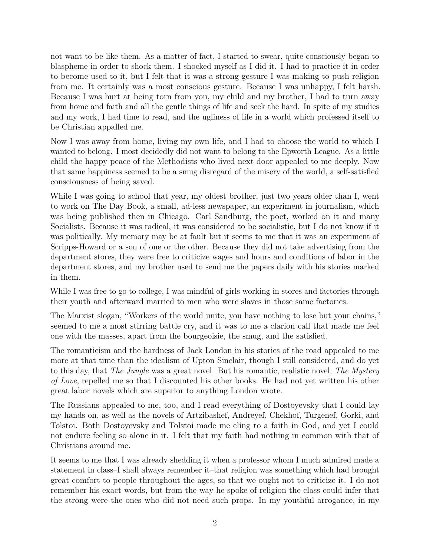not want to be like them. As a matter of fact, I started to swear, quite consciously began to blaspheme in order to shock them. I shocked myself as I did it. I had to practice it in order to become used to it, but I felt that it was a strong gesture I was making to push religion from me. It certainly was a most conscious gesture. Because I was unhappy, I felt harsh. Because I was hurt at being torn from you, my child and my brother, I had to turn away from home and faith and all the gentle things of life and seek the hard. In spite of my studies and my work, I had time to read, and the ugliness of life in a world which professed itself to be Christian appalled me.

Now I was away from home, living my own life, and I had to choose the world to which I wanted to belong. I most decidedly did not want to belong to the Epworth League. As a little child the happy peace of the Methodists who lived next door appealed to me deeply. Now that same happiness seemed to be a smug disregard of the misery of the world, a self-satisfied consciousness of being saved.

While I was going to school that year, my oldest brother, just two years older than I, went to work on The Day Book, a small, ad-less newspaper, an experiment in journalism, which was being published then in Chicago. Carl Sandburg, the poet, worked on it and many Socialists. Because it was radical, it was considered to be socialistic, but I do not know if it was politically. My memory may be at fault but it seems to me that it was an experiment of Scripps-Howard or a son of one or the other. Because they did not take advertising from the department stores, they were free to criticize wages and hours and conditions of labor in the department stores, and my brother used to send me the papers daily with his stories marked in them.

While I was free to go to college, I was mindful of girls working in stores and factories through their youth and afterward married to men who were slaves in those same factories.

The Marxist slogan, "Workers of the world unite, you have nothing to lose but your chains," seemed to me a most stirring battle cry, and it was to me a clarion call that made me feel one with the masses, apart from the bourgeoisie, the smug, and the satisfied.

The romanticism and the hardness of Jack London in his stories of the road appealed to me more at that time than the idealism of Upton Sinclair, though I still considered, and do yet to this day, that *The Jungle* was a great novel. But his romantic, realistic novel, *The Mystery of Love*, repelled me so that I discounted his other books. He had not yet written his other great labor novels which are superior to anything London wrote.

The Russians appealed to me, too, and I read everything of Dostoyevsky that I could lay my hands on, as well as the novels of Artzibashef, Andreyef, Chekhof, Turgenef, Gorki, and Tolstoi. Both Dostoyevsky and Tolstoi made me cling to a faith in God, and yet I could not endure feeling so alone in it. I felt that my faith had nothing in common with that of Christians around me.

It seems to me that I was already shedding it when a professor whom I much admired made a statement in class–I shall always remember it–that religion was something which had brought great comfort to people throughout the ages, so that we ought not to criticize it. I do not remember his exact words, but from the way he spoke of religion the class could infer that the strong were the ones who did not need such props. In my youthful arrogance, in my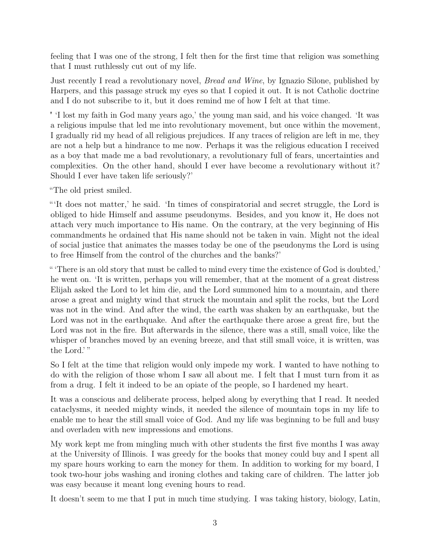feeling that I was one of the strong, I felt then for the first time that religion was something that I must ruthlessly cut out of my life.

Just recently I read a revolutionary novel, *Bread and Wine*, by Ignazio Silone, published by Harpers, and this passage struck my eyes so that I copied it out. It is not Catholic doctrine and I do not subscribe to it, but it does remind me of how I felt at that time.

" 'I lost my faith in God many years ago,' the young man said, and his voice changed. 'It was a religious impulse that led me into revolutionary movement, but once within the movement, I gradually rid my head of all religious prejudices. If any traces of religion are left in me, they are not a help but a hindrance to me now. Perhaps it was the religious education I received as a boy that made me a bad revolutionary, a revolutionary full of fears, uncertainties and complexities. On the other hand, should I ever have become a revolutionary without it? Should I ever have taken life seriously?'

"The old priest smiled.

"'It does not matter,' he said. 'In times of conspiratorial and secret struggle, the Lord is obliged to hide Himself and assume pseudonyms. Besides, and you know it, He does not attach very much importance to His name. On the contrary, at the very beginning of His commandments he ordained that His name should not be taken in vain. Might not the ideal of social justice that animates the masses today be one of the pseudonyms the Lord is using to free Himself from the control of the churches and the banks?'

" 'There is an old story that must be called to mind every time the existence of God is doubted,' he went on. 'It is written, perhaps you will remember, that at the moment of a great distress Elijah asked the Lord to let him die, and the Lord summoned him to a mountain, and there arose a great and mighty wind that struck the mountain and split the rocks, but the Lord was not in the wind. And after the wind, the earth was shaken by an earthquake, but the Lord was not in the earthquake. And after the earthquake there arose a great fire, but the Lord was not in the fire. But afterwards in the silence, there was a still, small voice, like the whisper of branches moved by an evening breeze, and that still small voice, it is written, was the Lord.'"

So I felt at the time that religion would only impede my work. I wanted to have nothing to do with the religion of those whom I saw all about me. I felt that I must turn from it as from a drug. I felt it indeed to be an opiate of the people, so I hardened my heart.

It was a conscious and deliberate process, helped along by everything that I read. It needed cataclysms, it needed mighty winds, it needed the silence of mountain tops in my life to enable me to hear the still small voice of God. And my life was beginning to be full and busy and overladen with new impressions and emotions.

My work kept me from mingling much with other students the first five months I was away at the University of Illinois. I was greedy for the books that money could buy and I spent all my spare hours working to earn the money for them. In addition to working for my board, I took two-hour jobs washing and ironing clothes and taking care of children. The latter job was easy because it meant long evening hours to read.

It doesn't seem to me that I put in much time studying. I was taking history, biology, Latin,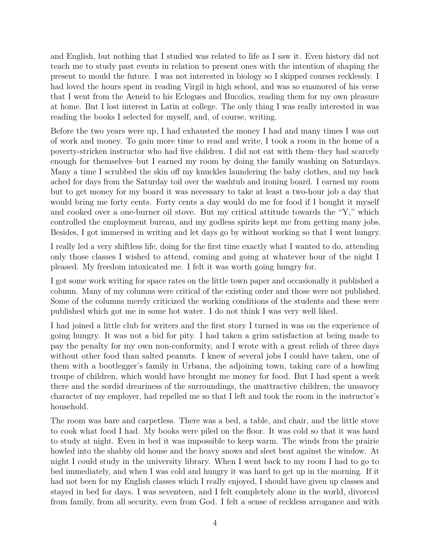and English, but nothing that I studied was related to life as I saw it. Even history did not teach me to study past events in relation to present ones with the intention of shaping the present to mould the future. I was not interested in biology so I skipped courses recklessly. I had loved the hours spent in reading Virgil in high school, and was so enamored of his verse that I went from the Aeneid to his Eclogues and Bucolics, reading them for my own pleasure at home. But I lost interest in Latin at college. The only thing I was really interested in was reading the books I selected for myself, and, of course, writing.

Before the two years were up, I had exhausted the money I had and many times I was out of work and money. To gain more time to read and write, I took a room in the home of a poverty-stricken instructor who had five children. I did not eat with them–they had scarcely enough for themselves–but I earned my room by doing the family washing on Saturdays. Many a time I scrubbed the skin off my knuckles laundering the baby clothes, and my back ached for days from the Saturday toil over the washtub and ironing board. I earned my room but to get money for my board it was necessary to take at least a two-hour job a day that would bring me forty cents. Forty cents a day would do me for food if I bought it myself and cooked over a one-burner oil stove. But my critical attitude towards the "Y," which controlled the employment bureau, and my godless spirits kept me from getting many jobs. Besides, I got immersed in writing and let days go by without working so that I went hungry.

I really led a very shiftless life, doing for the first time exactly what I wanted to do, attending only those classes I wished to attend, coming and going at whatever hour of the night I pleased. My freedom intoxicated me. I felt it was worth going hungry for.

I got some work writing for space rates on the little town paper and occasionally it published a column. Many of my columns were critical of the existing order and those were not published. Some of the columns merely criticized the working conditions of the students and these were published which got me in some hot water. I do not think I was very well liked.

I had joined a little club for writers and the first story I turned in was on the experience of going hungry. It was not a bid for pity. I had taken a grim satisfaction at being made to pay the penalty for my own non-conformity, and I wrote with a great relish of three days without other food than salted peanuts. I knew of several jobs I could have taken, one of them with a bootlegger's family in Urbana, the adjoining town, taking care of a howling troupe of children, which would have brought me money for food. But I had spent a week there and the sordid dreariness of the surroundings, the unattractive children, the unsavory character of my employer, had repelled me so that I left and took the room in the instructor's household.

The room was bare and carpetless. There was a bed, a table, and chair, and the little stove to cook what food I had. My books were piled on the floor. It was cold so that it was hard to study at night. Even in bed it was impossible to keep warm. The winds from the prairie howled into the shabby old house and the heavy snows and sleet beat against the window. At night I could study in the university library. When I went back to my room I had to go to bed immediately, and when I was cold and hungry it was hard to get up in the morning. If it had not been for my English classes which I really enjoyed, I should have given up classes and stayed in bed for days. I was seventeen, and I felt completely alone in the world, divorced from family, from all security, even from God. I felt a sense of reckless arrogance and with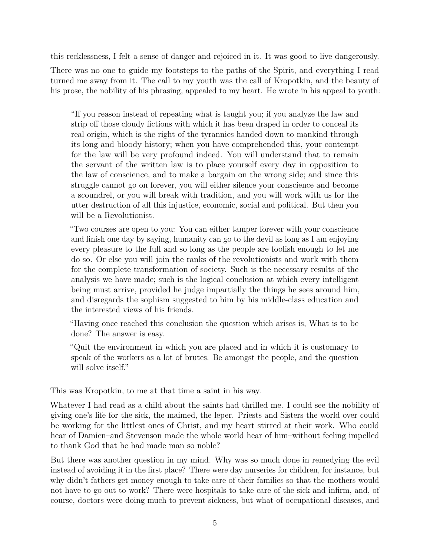this recklessness, I felt a sense of danger and rejoiced in it. It was good to live dangerously.

There was no one to guide my footsteps to the paths of the Spirit, and everything I read turned me away from it. The call to my youth was the call of Kropotkin, and the beauty of his prose, the nobility of his phrasing, appealed to my heart. He wrote in his appeal to youth:

"If you reason instead of repeating what is taught you; if you analyze the law and strip off those cloudy fictions with which it has been draped in order to conceal its real origin, which is the right of the tyrannies handed down to mankind through its long and bloody history; when you have comprehended this, your contempt for the law will be very profound indeed. You will understand that to remain the servant of the written law is to place yourself every day in opposition to the law of conscience, and to make a bargain on the wrong side; and since this struggle cannot go on forever, you will either silence your conscience and become a scoundrel, or you will break with tradition, and you will work with us for the utter destruction of all this injustice, economic, social and political. But then you will be a Revolutionist.

"Two courses are open to you: You can either tamper forever with your conscience and finish one day by saying, humanity can go to the devil as long as I am enjoying every pleasure to the full and so long as the people are foolish enough to let me do so. Or else you will join the ranks of the revolutionists and work with them for the complete transformation of society. Such is the necessary results of the analysis we have made; such is the logical conclusion at which every intelligent being must arrive, provided he judge impartially the things he sees around him, and disregards the sophism suggested to him by his middle-class education and the interested views of his friends.

"Having once reached this conclusion the question which arises is, What is to be done? The answer is easy.

"Quit the environment in which you are placed and in which it is customary to speak of the workers as a lot of brutes. Be amongst the people, and the question will solve itself."

This was Kropotkin, to me at that time a saint in his way.

Whatever I had read as a child about the saints had thrilled me. I could see the nobility of giving one's life for the sick, the maimed, the leper. Priests and Sisters the world over could be working for the littlest ones of Christ, and my heart stirred at their work. Who could hear of Damien–and Stevenson made the whole world hear of him–without feeling impelled to thank God that he had made man so noble?

But there was another question in my mind. Why was so much done in remedying the evil instead of avoiding it in the first place? There were day nurseries for children, for instance, but why didn't fathers get money enough to take care of their families so that the mothers would not have to go out to work? There were hospitals to take care of the sick and infirm, and, of course, doctors were doing much to prevent sickness, but what of occupational diseases, and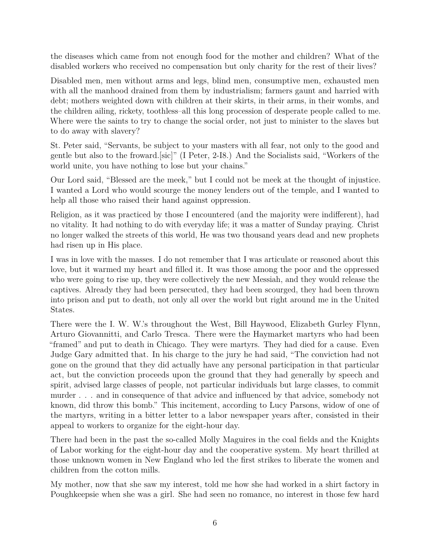the diseases which came from not enough food for the mother and children? What of the disabled workers who received no compensation but only charity for the rest of their lives?

Disabled men, men without arms and legs, blind men, consumptive men, exhausted men with all the manhood drained from them by industrialism; farmers gaunt and harried with debt; mothers weighted down with children at their skirts, in their arms, in their wombs, and the children ailing, rickety, toothless–all this long procession of desperate people called to me. Where were the saints to try to change the social order, not just to minister to the slaves but to do away with slavery?

St. Peter said, "Servants, be subject to your masters with all fear, not only to the good and gentle but also to the froward.[sic]" (I Peter, 2-I8.) And the Socialists said, "Workers of the world unite, you have nothing to lose but your chains."

Our Lord said, "Blessed are the meek," but I could not be meek at the thought of injustice. I wanted a Lord who would scourge the money lenders out of the temple, and I wanted to help all those who raised their hand against oppression.

Religion, as it was practiced by those I encountered (and the majority were indifferent), had no vitality. It had nothing to do with everyday life; it was a matter of Sunday praying. Christ no longer walked the streets of this world, He was two thousand years dead and new prophets had risen up in His place.

I was in love with the masses. I do not remember that I was articulate or reasoned about this love, but it warmed my heart and filled it. It was those among the poor and the oppressed who were going to rise up, they were collectively the new Messiah, and they would release the captives. Already they had been persecuted, they had been scourged, they had been thrown into prison and put to death, not only all over the world but right around me in the United States.

There were the I. W. W.'s throughout the West, Bill Haywood, Elizabeth Gurley Flynn, Arturo Giovannitti, and Carlo Tresca. There were the Haymarket martyrs who had been "framed" and put to death in Chicago. They were martyrs. They had died for a cause. Even Judge Gary admitted that. In his charge to the jury he had said, "The conviction had not gone on the ground that they did actually have any personal participation in that particular act, but the conviction proceeds upon the ground that they had generally by speech and spirit, advised large classes of people, not particular individuals but large classes, to commit murder . . . and in consequence of that advice and influenced by that advice, somebody not known, did throw this bomb." This incitement, according to Lucy Parsons, widow of one of the martyrs, writing in a bitter letter to a labor newspaper years after, consisted in their appeal to workers to organize for the eight-hour day.

There had been in the past the so-called Molly Maguires in the coal fields and the Knights of Labor working for the eight-hour day and the cooperative system. My heart thrilled at those unknown women in New England who led the first strikes to liberate the women and children from the cotton mills.

My mother, now that she saw my interest, told me how she had worked in a shirt factory in Poughkeepsie when she was a girl. She had seen no romance, no interest in those few hard